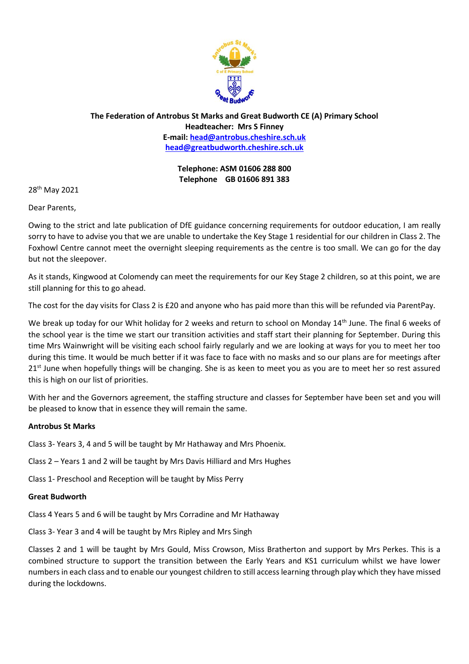

**The Federation of Antrobus St Marks and Great Budworth CE (A) Primary School Headteacher: Mrs S Finney E-mail: [head@antrobus.cheshire.sch.uk](mailto:head@antrobus-st-marks.cheshire.sch.uk) [head@greatbudworth.cheshire.sch.uk](mailto:head@greatbudworth.cheshire.sch.uk)**

> **Telephone: ASM 01606 288 800 Telephone GB 01606 891 383**

28th May 2021

Dear Parents,

Owing to the strict and late publication of DfE guidance concerning requirements for outdoor education, I am really sorry to have to advise you that we are unable to undertake the Key Stage 1 residential for our children in Class 2. The Foxhowl Centre cannot meet the overnight sleeping requirements as the centre is too small. We can go for the day but not the sleepover.

As it stands, Kingwood at Colomendy can meet the requirements for our Key Stage 2 children, so at this point, we are still planning for this to go ahead.

The cost for the day visits for Class 2 is £20 and anyone who has paid more than this will be refunded via ParentPay.

We break up today for our Whit holiday for 2 weeks and return to school on Monday 14<sup>th</sup> June. The final 6 weeks of the school year is the time we start our transition activities and staff start their planning for September. During this time Mrs Wainwright will be visiting each school fairly regularly and we are looking at ways for you to meet her too during this time. It would be much better if it was face to face with no masks and so our plans are for meetings after  $21<sup>st</sup>$  June when hopefully things will be changing. She is as keen to meet you as you are to meet her so rest assured this is high on our list of priorities.

With her and the Governors agreement, the staffing structure and classes for September have been set and you will be pleased to know that in essence they will remain the same.

# **Antrobus St Marks**

Class 3- Years 3, 4 and 5 will be taught by Mr Hathaway and Mrs Phoenix.

Class 2 – Years 1 and 2 will be taught by Mrs Davis Hilliard and Mrs Hughes

Class 1- Preschool and Reception will be taught by Miss Perry

# **Great Budworth**

Class 4 Years 5 and 6 will be taught by Mrs Corradine and Mr Hathaway

Class 3- Year 3 and 4 will be taught by Mrs Ripley and Mrs Singh

Classes 2 and 1 will be taught by Mrs Gould, Miss Crowson, Miss Bratherton and support by Mrs Perkes. This is a combined structure to support the transition between the Early Years and KS1 curriculum whilst we have lower numbers in each class and to enable our youngest children to still access learning through play which they have missed during the lockdowns.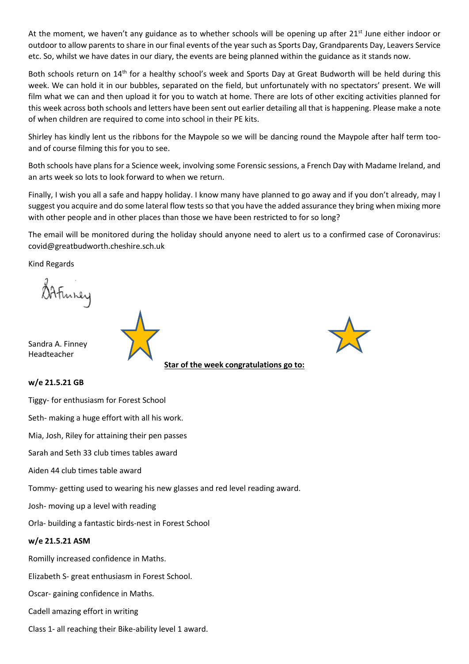At the moment, we haven't any guidance as to whether schools will be opening up after  $21^{st}$  June either indoor or outdoor to allow parents to share in our final events of the year such as Sports Day, Grandparents Day, Leavers Service etc. So, whilst we have dates in our diary, the events are being planned within the guidance as it stands now.

Both schools return on 14<sup>th</sup> for a healthy school's week and Sports Day at Great Budworth will be held during this week. We can hold it in our bubbles, separated on the field, but unfortunately with no spectators' present. We will film what we can and then upload it for you to watch at home. There are lots of other exciting activities planned for this week across both schools and letters have been sent out earlier detailing all that is happening. Please make a note of when children are required to come into school in their PE kits.

Shirley has kindly lent us the ribbons for the Maypole so we will be dancing round the Maypole after half term tooand of course filming this for you to see.

Both schools have plans for a Science week, involving some Forensic sessions, a French Day with Madame Ireland, and an arts week so lots to look forward to when we return.

Finally, I wish you all a safe and happy holiday. I know many have planned to go away and if you don't already, may I suggest you acquire and do some lateral flow tests so that you have the added assurance they bring when mixing more with other people and in other places than those we have been restricted to for so long?

The email will be monitored during the holiday should anyone need to alert us to a confirmed case of Coronavirus: covid@greatbudworth.cheshire.sch.uk

Kind Regards

Sandra A. Finney Headteacher



# **w/e 21.5.21 GB**

Tiggy- for enthusiasm for Forest School

Seth- making a huge effort with all his work.

Mia, Josh, Riley for attaining their pen passes

Sarah and Seth 33 club times tables award

Aiden 44 club times table award

Tommy- getting used to wearing his new glasses and red level reading award.

Josh- moving up a level with reading

Orla- building a fantastic birds-nest in Forest School

# **w/e 21.5.21 ASM**

Romilly increased confidence in Maths.

Elizabeth S- great enthusiasm in Forest School.

Oscar- gaining confidence in Maths.

Cadell amazing effort in writing

Class 1- all reaching their Bike-ability level 1 award.